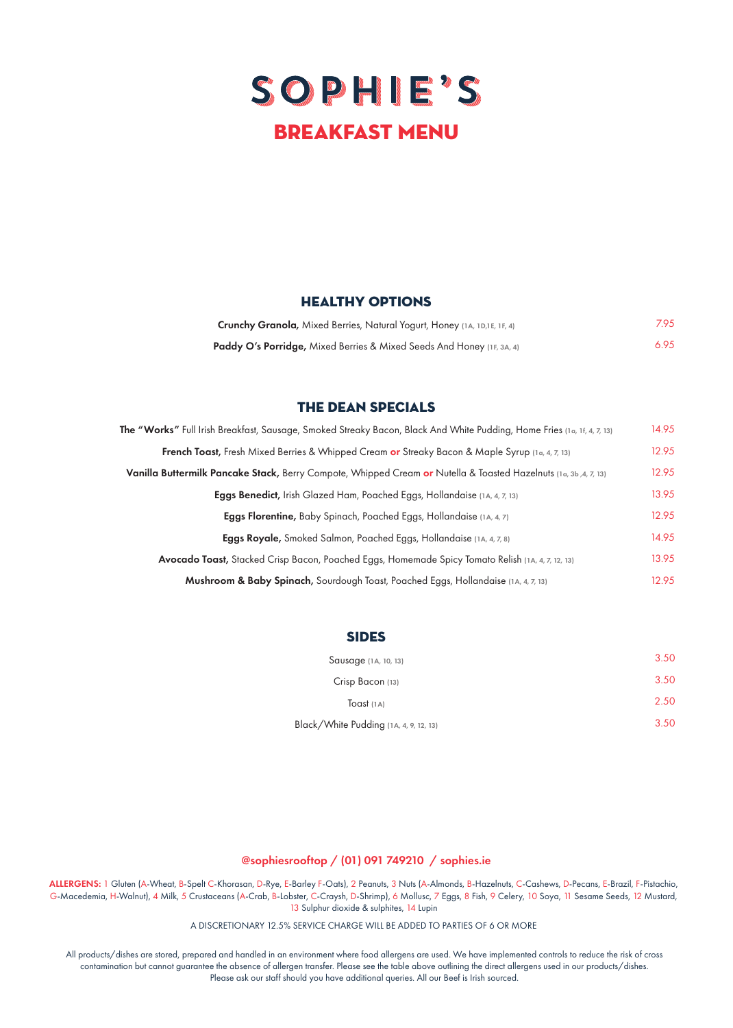# SOPHIE'S BREAKFAST menu

### HEALTHY OPTIONS

| <b>Crunchy Granola, Mixed Berries, Natural Yogurt, Honey (1A, 1D,1E, 1F, 4)</b>  | 7.95 |
|----------------------------------------------------------------------------------|------|
| <b>Paddy O's Porridge, Mixed Berries &amp; Mixed Seeds And Honey</b> (1F, 3A, 4) | 6.95 |

## the dean specials

| The "Works" Full Irish Breakfast, Sausage, Smoked Streaky Bacon, Black And White Pudding, Home Fries (1a, 1f, 4, 7, 13) | 14.95 |
|-------------------------------------------------------------------------------------------------------------------------|-------|
| <b>French Toast,</b> Fresh Mixed Berries & Whipped Cream or Streaky Bacon & Maple Syrup (1a, 4, 7, 13)                  | 12.95 |
| Vanilla Buttermilk Pancake Stack, Berry Compote, Whipped Cream or Nutella & Toasted Hazelnuts (1a, 3b, 4, 7, 13)        | 12.95 |
| Eggs Benedict, Irish Glazed Ham, Poached Eggs, Hollandaise (1A, 4, 7, 13)                                               | 13.95 |
| <b>Eggs Florentine,</b> Baby Spinach, Poached Eggs, Hollandaise (1A, 4, 7)                                              | 12.95 |
| <b>Eggs Royale,</b> Smoked Salmon, Poached Eggs, Hollandaise (1A, 4, 7, 8)                                              | 14.95 |
| <b>Avocado Toast,</b> Stacked Crisp Bacon, Poached Eggs, Homemade Spicy Tomato Relish (1A, 4, 7, 12, 13)                | 13.95 |
| <b>Mushroom &amp; Baby Spinach,</b> Sourdough Toast, Poached Eggs, Hollandaise (14, 4, 7, 13)                           | 12.95 |

#### **SIDES**

| Sausage (1A, 10, 13)                   | 3.50 |
|----------------------------------------|------|
| Crisp Bacon (13)                       | 3.50 |
| $T$ oast $(1A)$                        | 2.50 |
| Black/White Pudding (1A, 4, 9, 12, 13) | 3.50 |

## @sophiesrooftop / (01) 091 749210 / sophies.ie

ALLERGENS: 1 Gluten (A-Wheat, B-Spelt C-Khorasan, D-Rye, E-Barley F-Oats), 2 Peanuts, 3 Nuts (A-Almonds, B-Hazelnuts, C-Cashews, D-Pecans, E-Brazil, F-Pistachio, G-Macedemia, H-Walnut), 4 Milk, 5 Crustaceans (A-Crab, B-Lobster, C-Craysh, D-Shrimp), 6 Mollusc, 7 Eggs, 8 Fish, 9 Celery, 10 Soya, 11 Sesame Seeds, 12 Mustard, 13 Sulphur dioxide & sulphites, 14 Lupin

A DISCRETIONARY 12.5% SERVICE CHARGE WILL BE ADDED TO PARTIES OF 6 OR MORE

All products/dishes are stored, prepared and handled in an environment where food allergens are used. We have implemented controls to reduce the risk of cross contamination but cannot guarantee the absence of allergen transfer. Please see the table above outlining the direct allergens used in our products/dishes. Please ask our staff should you have additional queries. All our Beef is Irish sourced.